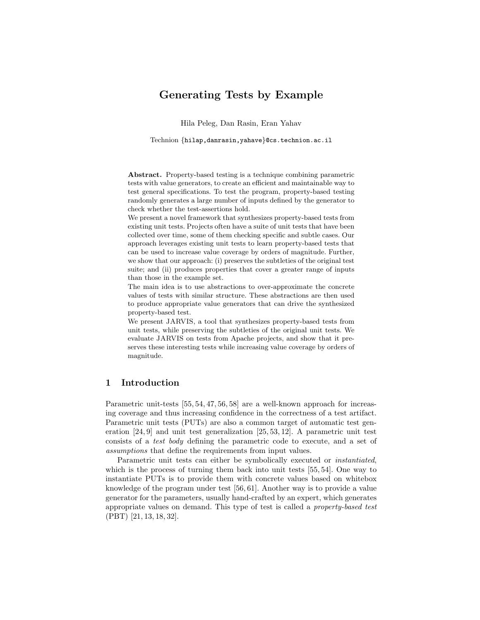# Generating Tests by Example

Hila Peleg, Dan Rasin, Eran Yahav

Technion {hilap,danrasin,yahave}@cs.technion.ac.il

Abstract. Property-based testing is a technique combining parametric tests with value generators, to create an efficient and maintainable way to test general specifications. To test the program, property-based testing randomly generates a large number of inputs defined by the generator to check whether the test-assertions hold.

We present a novel framework that synthesizes property-based tests from existing unit tests. Projects often have a suite of unit tests that have been collected over time, some of them checking specific and subtle cases. Our approach leverages existing unit tests to learn property-based tests that can be used to increase value coverage by orders of magnitude. Further, we show that our approach: (i) preserves the subtleties of the original test suite; and (ii) produces properties that cover a greater range of inputs than those in the example set.

The main idea is to use abstractions to over-approximate the concrete values of tests with similar structure. These abstractions are then used to produce appropriate value generators that can drive the synthesized property-based test.

We present JARVIS, a tool that synthesizes property-based tests from unit tests, while preserving the subtleties of the original unit tests. We evaluate JARVIS on tests from Apache projects, and show that it preserves these interesting tests while increasing value coverage by orders of magnitude.

# 1 Introduction

Parametric unit-tests [55, 54, 47, 56, 58] are a well-known approach for increasing coverage and thus increasing confidence in the correctness of a test artifact. Parametric unit tests (PUTs) are also a common target of automatic test generation [24, 9] and unit test generalization [25, 53, 12]. A parametric unit test consists of a test body defining the parametric code to execute, and a set of assumptions that define the requirements from input values.

Parametric unit tests can either be symbolically executed or instantiated, which is the process of turning them back into unit tests [55, 54]. One way to instantiate PUTs is to provide them with concrete values based on whitebox knowledge of the program under test [56, 61]. Another way is to provide a value generator for the parameters, usually hand-crafted by an expert, which generates appropriate values on demand. This type of test is called a property-based test (PBT) [21, 13, 18, 32].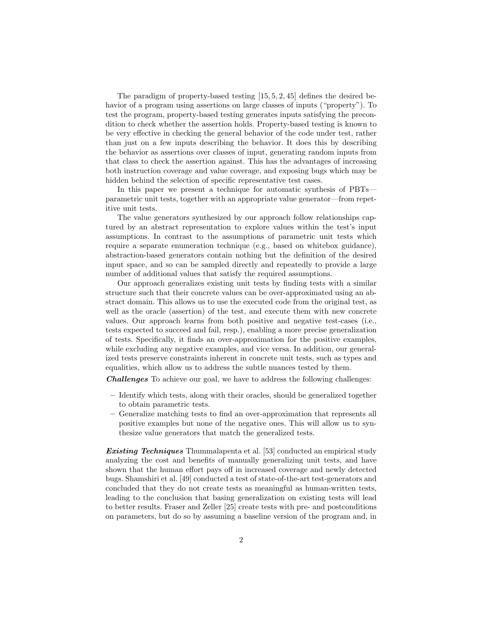The paradigm of property-based testing  $[15, 5, 2, 45]$  defines the desired behavior of a program using assertions on large classes of inputs ("property"). To test the program, property-based testing generates inputs satisfying the precondition to check whether the assertion holds. Property-based testing is known to be very effective in checking the general behavior of the code under test, rather than just on a few inputs describing the behavior. It does this by describing the behavior as assertions over classes of input, generating random inputs from that class to check the assertion against. This has the advantages of increasing both instruction coverage and value coverage, and exposing bugs which may be hidden behind the selection of specific representative test cases.

In this paper we present a technique for automatic synthesis of PBTs parametric unit tests, together with an appropriate value generator—from repetitive unit tests.

The value generators synthesized by our approach follow relationships captured by an abstract representation to explore values within the test's input assumptions. In contrast to the assumptions of parametric unit tests which require a separate enumeration technique (e.g., based on whitebox guidance), abstraction-based generators contain nothing but the definition of the desired input space, and so can be sampled directly and repeatedly to provide a large number of additional values that satisfy the required assumptions.

Our approach generalizes existing unit tests by finding tests with a similar structure such that their concrete values can be over-approximated using an abstract domain. This allows us to use the executed code from the original test, as well as the oracle (assertion) of the test, and execute them with new concrete values. Our approach learns from both positive and negative test-cases (i.e., tests expected to succeed and fail, resp.), enabling a more precise generalization of tests. Specifically, it finds an over-approximation for the positive examples, while excluding any negative examples, and vice versa. In addition, our generalized tests preserve constraints inherent in concrete unit tests, such as types and equalities, which allow us to address the subtle nuances tested by them.

Challenges To achieve our goal, we have to address the following challenges:

- Identify which tests, along with their oracles, should be generalized together to obtain parametric tests.
- Generalize matching tests to find an over-approximation that represents all positive examples but none of the negative ones. This will allow us to synthesize value generators that match the generalized tests.

**Existing Techniques** Thummalapenta et al. [53] conducted an empirical study analyzing the cost and benefits of manually generalizing unit tests, and have shown that the human effort pays off in increased coverage and newly detected bugs. Shamshiri et al. [49] conducted a test of state-of-the-art test-generators and concluded that they do not create tests as meaningful as human-written tests, leading to the conclusion that basing generalization on existing tests will lead to better results. Fraser and Zeller [25] create tests with pre- and postconditions on parameters, but do so by assuming a baseline version of the program and, in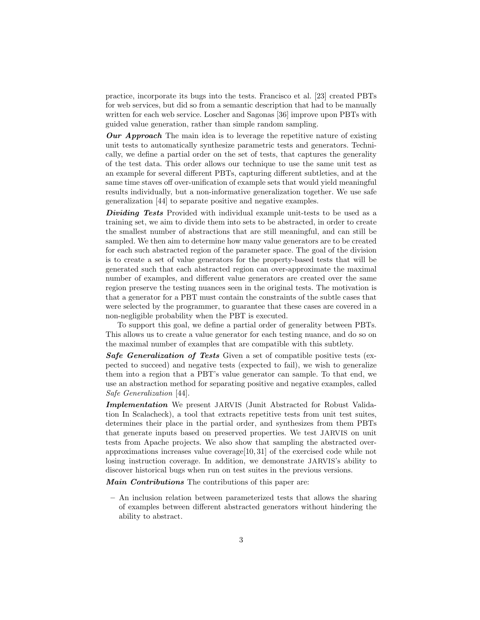practice, incorporate its bugs into the tests. Francisco et al. [23] created PBTs for web services, but did so from a semantic description that had to be manually written for each web service. Loscher and Sagonas [36] improve upon PBTs with guided value generation, rather than simple random sampling.

**Our Approach** The main idea is to leverage the repetitive nature of existing unit tests to automatically synthesize parametric tests and generators. Technically, we define a partial order on the set of tests, that captures the generality of the test data. This order allows our technique to use the same unit test as an example for several different PBTs, capturing different subtleties, and at the same time staves off over-unification of example sets that would yield meaningful results individually, but a non-informative generalization together. We use safe generalization [44] to separate positive and negative examples.

Dividing Tests Provided with individual example unit-tests to be used as a training set, we aim to divide them into sets to be abstracted, in order to create the smallest number of abstractions that are still meaningful, and can still be sampled. We then aim to determine how many value generators are to be created for each such abstracted region of the parameter space. The goal of the division is to create a set of value generators for the property-based tests that will be generated such that each abstracted region can over-approximate the maximal number of examples, and different value generators are created over the same region preserve the testing nuances seen in the original tests. The motivation is that a generator for a PBT must contain the constraints of the subtle cases that were selected by the programmer, to guarantee that these cases are covered in a non-negligible probability when the PBT is executed.

To support this goal, we define a partial order of generality between PBTs. This allows us to create a value generator for each testing nuance, and do so on the maximal number of examples that are compatible with this subtlety.

Safe Generalization of Tests Given a set of compatible positive tests (expected to succeed) and negative tests (expected to fail), we wish to generalize them into a region that a PBT's value generator can sample. To that end, we use an abstraction method for separating positive and negative examples, called Safe Generalization [44].

Implementation We present JARVIS (Junit Abstracted for Robust Validation In Scalacheck), a tool that extracts repetitive tests from unit test suites, determines their place in the partial order, and synthesizes from them PBTs that generate inputs based on preserved properties. We test JARVIS on unit tests from Apache projects. We also show that sampling the abstracted overapproximations increases value coverage[10, 31] of the exercised code while not losing instruction coverage. In addition, we demonstrate JARVIS's ability to discover historical bugs when run on test suites in the previous versions.

Main Contributions The contributions of this paper are:

– An inclusion relation between parameterized tests that allows the sharing of examples between different abstracted generators without hindering the ability to abstract.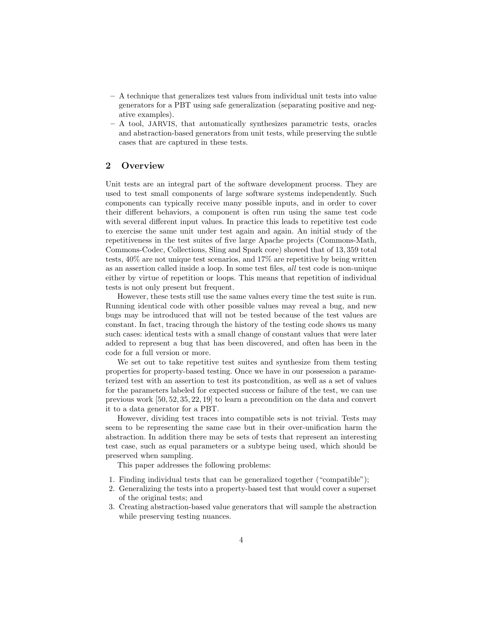- A technique that generalizes test values from individual unit tests into value generators for a PBT using safe generalization (separating positive and negative examples).
- A tool, JARVIS, that automatically synthesizes parametric tests, oracles and abstraction-based generators from unit tests, while preserving the subtle cases that are captured in these tests.

### 2 Overview

Unit tests are an integral part of the software development process. They are used to test small components of large software systems independently. Such components can typically receive many possible inputs, and in order to cover their different behaviors, a component is often run using the same test code with several different input values. In practice this leads to repetitive test code to exercise the same unit under test again and again. An initial study of the repetitiveness in the test suites of five large Apache projects (Commons-Math, Commons-Codec, Collections, Sling and Spark core) showed that of 13, 359 total tests, 40% are not unique test scenarios, and 17% are repetitive by being written as an assertion called inside a loop. In some test files, all test code is non-unique either by virtue of repetition or loops. This means that repetition of individual tests is not only present but frequent.

However, these tests still use the same values every time the test suite is run. Running identical code with other possible values may reveal a bug, and new bugs may be introduced that will not be tested because of the test values are constant. In fact, tracing through the history of the testing code shows us many such cases: identical tests with a small change of constant values that were later added to represent a bug that has been discovered, and often has been in the code for a full version or more.

We set out to take repetitive test suites and synthesize from them testing properties for property-based testing. Once we have in our possession a parameterized test with an assertion to test its postcondition, as well as a set of values for the parameters labeled for expected success or failure of the test, we can use previous work [50, 52, 35, 22, 19] to learn a precondition on the data and convert it to a data generator for a PBT.

However, dividing test traces into compatible sets is not trivial. Tests may seem to be representing the same case but in their over-unification harm the abstraction. In addition there may be sets of tests that represent an interesting test case, such as equal parameters or a subtype being used, which should be preserved when sampling.

This paper addresses the following problems:

- 1. Finding individual tests that can be generalized together ("compatible");
- 2. Generalizing the tests into a property-based test that would cover a superset of the original tests; and
- 3. Creating abstraction-based value generators that will sample the abstraction while preserving testing nuances.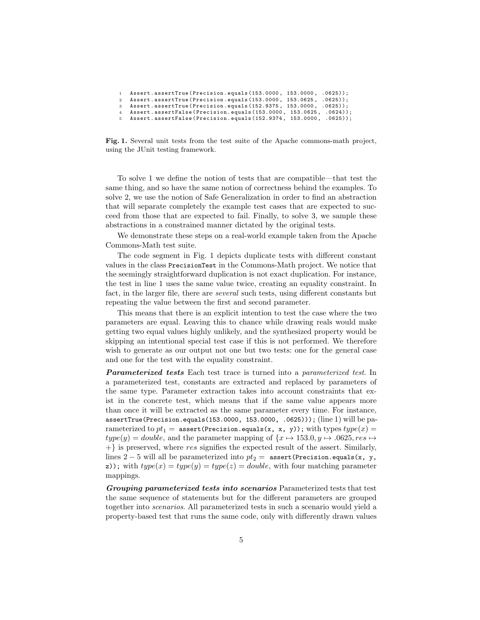| 1 Assert.assertTrue(Precision.equals(153.0000, 153.0000, .0625));  |  |
|--------------------------------------------------------------------|--|
| 2 Assert.assertTrue(Precision.equals(153.0000, 153.0625, .0625));  |  |
| 3 Assert.assertTrue(Precision.equals(152.9375, 153.0000, .0625));  |  |
| 4 Assert.assertFalse(Precision.equals(153.0000, 153.0625, .0624)); |  |
| 5 Assert.assertFalse(Precision.equals(152.9374, 153.0000, .0625)); |  |

Fig. 1. Several unit tests from the test suite of the Apache commons-math project,

using the JUnit testing framework.

To solve 1 we define the notion of tests that are compatible—that test the same thing, and so have the same notion of correctness behind the examples. To solve 2, we use the notion of Safe Generalization in order to find an abstraction that will separate completely the example test cases that are expected to succeed from those that are expected to fail. Finally, to solve 3, we sample these abstractions in a constrained manner dictated by the original tests.

We demonstrate these steps on a real-world example taken from the Apache Commons-Math test suite.

The code segment in Fig. 1 depicts duplicate tests with different constant values in the class PrecisionTest in the Commons-Math project. We notice that the seemingly straightforward duplication is not exact duplication. For instance, the test in line 1 uses the same value twice, creating an equality constraint. In fact, in the larger file, there are several such tests, using different constants but repeating the value between the first and second parameter.

This means that there is an explicit intention to test the case where the two parameters are equal. Leaving this to chance while drawing reals would make getting two equal values highly unlikely, and the synthesized property would be skipping an intentional special test case if this is not performed. We therefore wish to generate as our output not one but two tests: one for the general case and one for the test with the equality constraint.

**Parameterized tests** Each test trace is turned into a *parameterized test*. In a parameterized test, constants are extracted and replaced by parameters of the same type. Parameter extraction takes into account constraints that exist in the concrete test, which means that if the same value appears more than once it will be extracted as the same parameter every time. For instance, assertTrue(Precision.equals(153.0000, 153.0000, .0625))); (line 1) will be parameterized to  $pt_1 =$  assert (Precision.equals(x, x, y)); with types  $type(x) =$  $type(y) = double$ , and the parameter mapping of  $\{x \mapsto 153.0, y \mapsto .0625, res \mapsto$  $+$  is preserved, where res signifies the expected result of the assert. Similarly, lines 2 – 5 will all be parameterized into  $pt_2 =$  assert (Precision.equals(x, y, z)); with  $type(x) = type(y) = type(z) = double$ , with four matching parameter mappings.

Grouping parameterized tests into scenarios Parameterized tests that test the same sequence of statements but for the different parameters are grouped together into scenarios. All parameterized tests in such a scenario would yield a property-based test that runs the same code, only with differently drawn values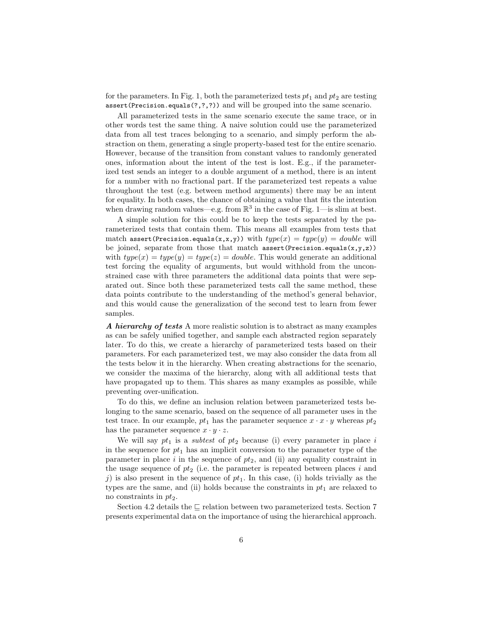for the parameters. In Fig. 1, both the parameterized tests  $pt_1$  and  $pt_2$  are testing assert(Precision.equals(?,?,?)) and will be grouped into the same scenario.

All parameterized tests in the same scenario execute the same trace, or in other words test the same thing. A naive solution could use the parameterized data from all test traces belonging to a scenario, and simply perform the abstraction on them, generating a single property-based test for the entire scenario. However, because of the transition from constant values to randomly generated ones, information about the intent of the test is lost. E.g., if the parameterized test sends an integer to a double argument of a method, there is an intent for a number with no fractional part. If the parameterized test repeats a value throughout the test (e.g. between method arguments) there may be an intent for equality. In both cases, the chance of obtaining a value that fits the intention when drawing random values—e.g. from  $\mathbb{R}^3$  in the case of Fig. 1—is slim at best.

A simple solution for this could be to keep the tests separated by the parameterized tests that contain them. This means all examples from tests that match assert(Precision.equals(x,x,y)) with  $type(x) = type(y) = double$  will be joined, separate from those that match assert(Precision.equals $(x,y,z)$ ) with  $type(x) = type(y) = type(z) = double$ . This would generate an additional test forcing the equality of arguments, but would withhold from the unconstrained case with three parameters the additional data points that were separated out. Since both these parameterized tests call the same method, these data points contribute to the understanding of the method's general behavior, and this would cause the generalization of the second test to learn from fewer samples.

A hierarchy of tests A more realistic solution is to abstract as many examples as can be safely unified together, and sample each abstracted region separately later. To do this, we create a hierarchy of parameterized tests based on their parameters. For each parameterized test, we may also consider the data from all the tests below it in the hierarchy. When creating abstractions for the scenario, we consider the maxima of the hierarchy, along with all additional tests that have propagated up to them. This shares as many examples as possible, while preventing over-unification.

To do this, we define an inclusion relation between parameterized tests belonging to the same scenario, based on the sequence of all parameter uses in the test trace. In our example,  $pt_1$  has the parameter sequence  $x \cdot x \cdot y$  whereas  $pt_2$ has the parameter sequence  $x \cdot y \cdot z$ .

We will say  $pt_1$  is a *subtest* of  $pt_2$  because (i) every parameter in place i in the sequence for  $pt_1$  has an implicit conversion to the parameter type of the parameter in place  $i$  in the sequence of  $pt_2$ , and (ii) any equality constraint in the usage sequence of  $pt_2$  (i.e. the parameter is repeated between places i and j) is also present in the sequence of  $pt_1$ . In this case, (i) holds trivially as the types are the same, and (ii) holds because the constraints in  $pt_1$  are relaxed to no constraints in  $pt_2$ .

Section 4.2 details the  $\sqsubseteq$  relation between two parameterized tests. Section 7 presents experimental data on the importance of using the hierarchical approach.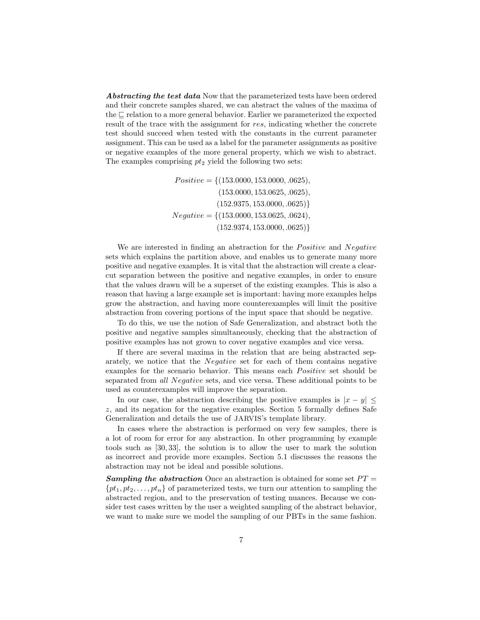Abstracting the test data Now that the parameterized tests have been ordered and their concrete samples shared, we can abstract the values of the maxima of the  $\sqsubseteq$  relation to a more general behavior. Earlier we parameterized the expected result of the trace with the assignment for res, indicating whether the concrete test should succeed when tested with the constants in the current parameter assignment. This can be used as a label for the parameter assignments as positive or negative examples of the more general property, which we wish to abstract. The examples comprising  $pt_2$  yield the following two sets:

> $Positive = \{(153.0000, 153.0000, .0625),$ (153.0000, 153.0625, .0625),  $(152.9375, 153.0000, .0625)$  $Negative = \{(153.0000, 153.0625, .0624),$  $(152.9374, 153.0000, .0625)$

We are interested in finding an abstraction for the *Positive* and *Negative* sets which explains the partition above, and enables us to generate many more positive and negative examples. It is vital that the abstraction will create a clearcut separation between the positive and negative examples, in order to ensure that the values drawn will be a superset of the existing examples. This is also a reason that having a large example set is important: having more examples helps grow the abstraction, and having more counterexamples will limit the positive abstraction from covering portions of the input space that should be negative.

To do this, we use the notion of Safe Generalization, and abstract both the positive and negative samples simultaneously, checking that the abstraction of positive examples has not grown to cover negative examples and vice versa.

If there are several maxima in the relation that are being abstracted separately, we notice that the Negative set for each of them contains negative examples for the scenario behavior. This means each *Positive* set should be separated from all Negative sets, and vice versa. These additional points to be used as counterexamples will improve the separation.

In our case, the abstraction describing the positive examples is  $|x - y| \leq$ z, and its negation for the negative examples. Section 5 formally defines Safe Generalization and details the use of JARVIS's template library.

In cases where the abstraction is performed on very few samples, there is a lot of room for error for any abstraction. In other programming by example tools such as [30, 33], the solution is to allow the user to mark the solution as incorrect and provide more examples. Section 5.1 discusses the reasons the abstraction may not be ideal and possible solutions.

**Sampling the abstraction** Once an abstraction is obtained for some set  $PT =$  $\{pt_1, pt_2, \ldots, pt_n\}$  of parameterized tests, we turn our attention to sampling the abstracted region, and to the preservation of testing nuances. Because we consider test cases written by the user a weighted sampling of the abstract behavior, we want to make sure we model the sampling of our PBTs in the same fashion.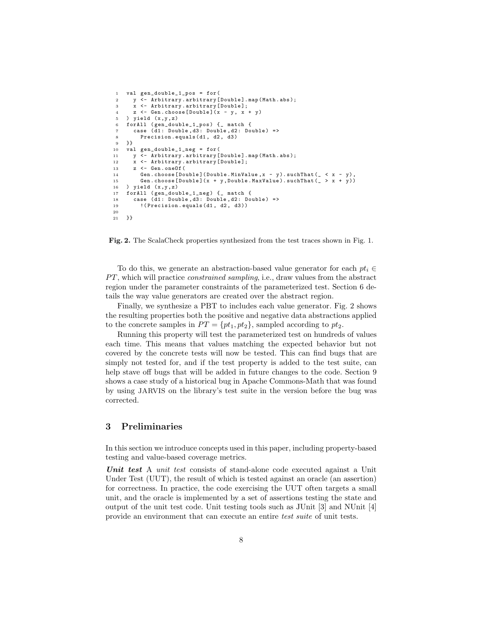```
1 val gen_double_1_pos = for (
2 y <- Arbitrary . arbitrary [ Double ]. map ( Math . abs );
3 x <- Arbitrary . arbitrary [ Double ];
 4 z \leftarrow Gen.choose [Double] (x - y, x + y)5 ) yield (x,y,z)6 forAll ( gen_double_1_pos ) { _ match {
 7 case (d1 : Double, d3 : Double, d2 : Double) =>
 8 Precision . equals (d1, d2, d3)
9 }}
10 val gen_double_1_neg = for (
11 y <- Arbitrary . arbitrary [ Double ]. map ( Math . abs );
12 x <- Arbitrary . arbitrary [ Double ];
13 z <- Gen . oneOf (
14 Gen.choose [Double](Double.MinValue.x - y).suchThat (x - y).
15 Gen.choose [Double] (x + y, Double MaxValue). such That (2x + y)]
16 ) yield (x ,y ,z )
17 forAll ( gen_double_1_neg ) { _ match {
18 case (d1: Double, d3: Double, d2: Double) =><br>19 1(Frecision, equals(d1, d2, d3))!(Precision.equals(d1, d2, d3))
20
21 }}
```
Fig. 2. The ScalaCheck properties synthesized from the test traces shown in Fig. 1.

To do this, we generate an abstraction-based value generator for each  $pt_i \in$ PT, which will practice *constrained sampling*, i.e., draw values from the abstract region under the parameter constraints of the parameterized test. Section 6 details the way value generators are created over the abstract region.

Finally, we synthesize a PBT to includes each value generator. Fig. 2 shows the resulting properties both the positive and negative data abstractions applied to the concrete samples in  $PT = \{pt_1, pt_2\}$ , sampled according to  $pt_2$ .

Running this property will test the parameterized test on hundreds of values each time. This means that values matching the expected behavior but not covered by the concrete tests will now be tested. This can find bugs that are simply not tested for, and if the test property is added to the test suite, can help stave off bugs that will be added in future changes to the code. Section 9 shows a case study of a historical bug in Apache Commons-Math that was found by using JARVIS on the library's test suite in the version before the bug was corrected.

### 3 Preliminaries

In this section we introduce concepts used in this paper, including property-based testing and value-based coverage metrics.

Unit test A unit test consists of stand-alone code executed against a Unit Under Test (UUT), the result of which is tested against an oracle (an assertion) for correctness. In practice, the code exercising the UUT often targets a small unit, and the oracle is implemented by a set of assertions testing the state and output of the unit test code. Unit testing tools such as JUnit [3] and NUnit [4] provide an environment that can execute an entire test suite of unit tests.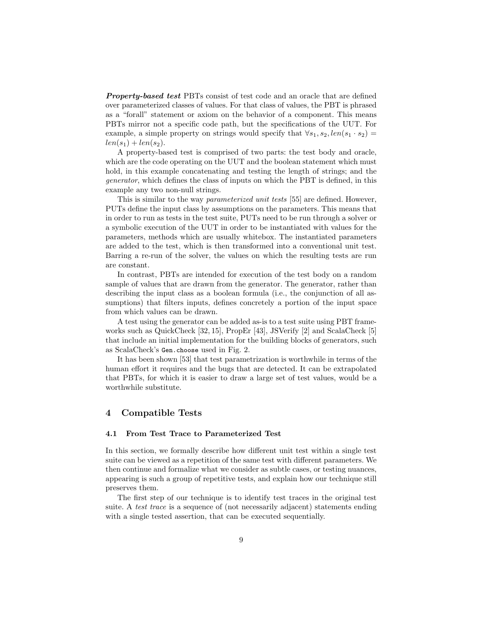**Property-based test PBTs** consist of test code and an oracle that are defined over parameterized classes of values. For that class of values, the PBT is phrased as a "forall" statement or axiom on the behavior of a component. This means PBTs mirror not a specific code path, but the specifications of the UUT. For example, a simple property on strings would specify that  $\forall s_1, s_2, len(s_1 \cdot s_2)$  $len(s_1) + len(s_2)$ .

A property-based test is comprised of two parts: the test body and oracle, which are the code operating on the UUT and the boolean statement which must hold, in this example concatenating and testing the length of strings; and the generator, which defines the class of inputs on which the PBT is defined, in this example any two non-null strings.

This is similar to the way *parameterized unit tests* [55] are defined. However, PUTs define the input class by assumptions on the parameters. This means that in order to run as tests in the test suite, PUTs need to be run through a solver or a symbolic execution of the UUT in order to be instantiated with values for the parameters, methods which are usually whitebox. The instantiated parameters are added to the test, which is then transformed into a conventional unit test. Barring a re-run of the solver, the values on which the resulting tests are run are constant.

In contrast, PBTs are intended for execution of the test body on a random sample of values that are drawn from the generator. The generator, rather than describing the input class as a boolean formula (i.e., the conjunction of all assumptions) that filters inputs, defines concretely a portion of the input space from which values can be drawn.

A test using the generator can be added as-is to a test suite using PBT frameworks such as QuickCheck [32, 15], PropEr [43], JSVerify [2] and ScalaCheck [5] that include an initial implementation for the building blocks of generators, such as ScalaCheck's Gen.choose used in Fig. 2.

It has been shown [53] that test parametrization is worthwhile in terms of the human effort it requires and the bugs that are detected. It can be extrapolated that PBTs, for which it is easier to draw a large set of test values, would be a worthwhile substitute.

### 4 Compatible Tests

#### 4.1 From Test Trace to Parameterized Test

In this section, we formally describe how different unit test within a single test suite can be viewed as a repetition of the same test with different parameters. We then continue and formalize what we consider as subtle cases, or testing nuances, appearing is such a group of repetitive tests, and explain how our technique still preserves them.

The first step of our technique is to identify test traces in the original test suite. A test trace is a sequence of (not necessarily adjacent) statements ending with a single tested assertion, that can be executed sequentially.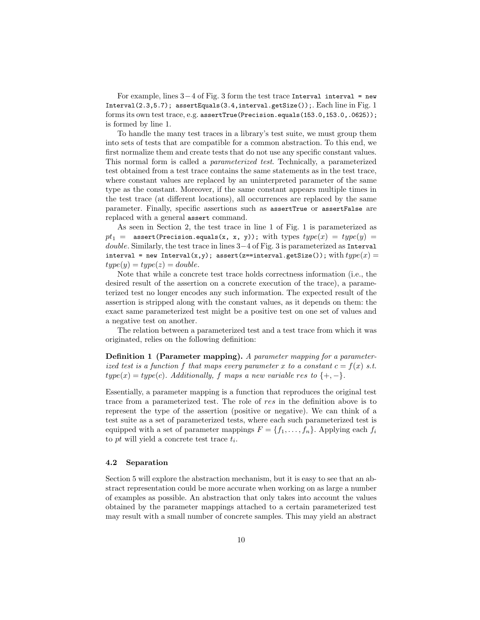For example, lines  $3-4$  of Fig. 3 form the test trace Interval interval = new Interval(2.3,5.7); assertEquals(3.4,interval.getSize());. Each line in Fig. 1 forms its own test trace, e.g. assertTrue(Precision.equals(153.0,153.0,.0625)); is formed by line 1.

To handle the many test traces in a library's test suite, we must group them into sets of tests that are compatible for a common abstraction. To this end, we first normalize them and create tests that do not use any specific constant values. This normal form is called a parameterized test. Technically, a parameterized test obtained from a test trace contains the same statements as in the test trace, where constant values are replaced by an uninterpreted parameter of the same type as the constant. Moreover, if the same constant appears multiple times in the test trace (at different locations), all occurrences are replaced by the same parameter. Finally, specific assertions such as assertTrue or assertFalse are replaced with a general assert command.

As seen in Section 2, the test trace in line 1 of Fig. 1 is parameterized as  $pt_1 =$  assert(Precision.equals(x, x, y)); with types  $type(x) = type(y) =$ double. Similarly, the test trace in lines 3−4 of Fig. 3 is parameterized as Interval interval = new Interval(x,y); assert(z==interval.getSize()); with  $type(x)$  =  $type(y) = type(z) = double.$ 

Note that while a concrete test trace holds correctness information (i.e., the desired result of the assertion on a concrete execution of the trace), a parameterized test no longer encodes any such information. The expected result of the assertion is stripped along with the constant values, as it depends on them: the exact same parameterized test might be a positive test on one set of values and a negative test on another.

The relation between a parameterized test and a test trace from which it was originated, relies on the following definition:

Definition 1 (Parameter mapping). A parameter mapping for a parameterized test is a function f that maps every parameter x to a constant  $c = f(x)$  s.t.  $type(x) = type(c)$ . Additionally, f maps a new variable res to {+, -}.

Essentially, a parameter mapping is a function that reproduces the original test trace from a parameterized test. The role of res in the definition above is to represent the type of the assertion (positive or negative). We can think of a test suite as a set of parameterized tests, where each such parameterized test is equipped with a set of parameter mappings  $F = \{f_1, \ldots, f_n\}$ . Applying each  $f_i$ to pt will yield a concrete test trace  $t_i$ .

#### 4.2 Separation

Section 5 will explore the abstraction mechanism, but it is easy to see that an abstract representation could be more accurate when working on as large a number of examples as possible. An abstraction that only takes into account the values obtained by the parameter mappings attached to a certain parameterized test may result with a small number of concrete samples. This may yield an abstract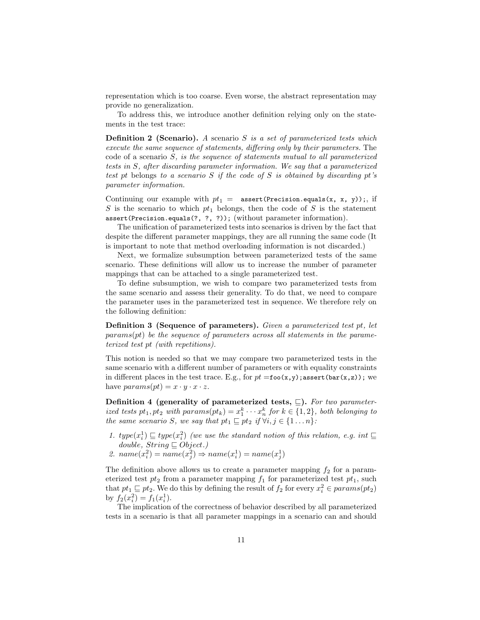representation which is too coarse. Even worse, the abstract representation may provide no generalization.

To address this, we introduce another definition relying only on the statements in the test trace:

**Definition 2 (Scenario).** A scenario  $S$  is a set of parameterized tests which execute the same sequence of statements, differing only by their parameters. The code of a scenario S, is the sequence of statements mutual to all parameterized tests in S, after discarding parameter information. We say that a parameterized test pt belongs to a scenario S if the code of S is obtained by discarding pt's parameter information.

Continuing our example with  $pt_1 =$  assert(Precision.equals(x, x, y));, if S is the scenario to which  $pt_1$  belongs, then the code of S is the statement assert(Precision.equals(?, ?, ?)); (without parameter information).

The unification of parameterized tests into scenarios is driven by the fact that despite the different parameter mappings, they are all running the same code (It is important to note that method overloading information is not discarded.)

Next, we formalize subsumption between parameterized tests of the same scenario. These definitions will allow us to increase the number of parameter mappings that can be attached to a single parameterized test.

To define subsumption, we wish to compare two parameterized tests from the same scenario and assess their generality. To do that, we need to compare the parameter uses in the parameterized test in sequence. We therefore rely on the following definition:

Definition 3 (Sequence of parameters). Given a parameterized test pt, let  $params(pt)$  be the sequence of parameters across all statements in the parameterized test pt (with repetitions).

This notion is needed so that we may compare two parameterized tests in the same scenario with a different number of parameters or with equality constraints in different places in the test trace. E.g., for  $pt = foo(x,y)$ ; assert(bar(x,z)); we have  $params(pt) = x \cdot y \cdot x \cdot z$ .

Definition 4 (generality of parameterized tests,  $\subseteq$ ). For two parameterized tests  $pt_1, pt_2$  with  $params(pt_k) = x_1^k \cdots x_n^k$  for  $k \in \{1,2\}$ , both belonging to the same scenario S, we say that  $pt_1 \sqsubseteq pt_2$  if  $\forall i, j \in \{1 \dots n\}$ :

- 1.  $type(x_i^1) \sqsubseteq type(x_i^2)$  (we use the standard notion of this relation, e.g. int  $\sqsubseteq$  $double, String \sqsubseteq Object.$ )
- 2.  $name(x_i^2) = name(x_j^2) \Rightarrow name(x_i^1) = name(x_j^1)$

The definition above allows us to create a parameter mapping  $f_2$  for a parameterized test  $pt_2$  from a parameter mapping  $f_1$  for parameterized test  $pt_1$ , such that  $pt_1 \sqsubseteq pt_2$ . We do this by defining the result of  $f_2$  for every  $x_i^2 \in params(pt_2)$ by  $f_2(x_i^2) = f_1(x_i^1)$ .

The implication of the correctness of behavior described by all parameterized tests in a scenario is that all parameter mappings in a scenario can and should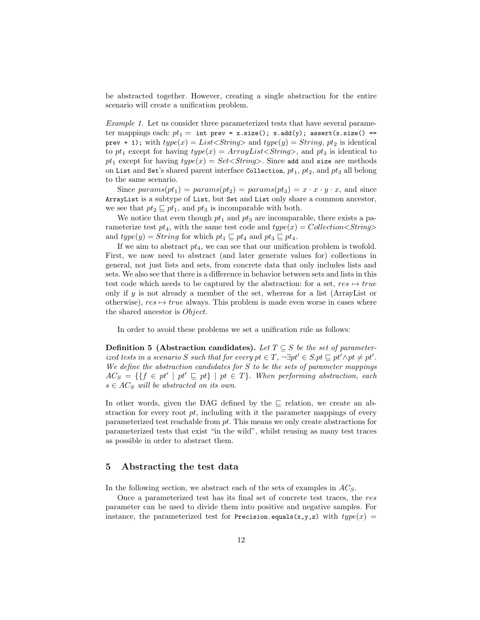be abstracted together. However, creating a single abstraction for the entire scenario will create a unification problem.

Example 1. Let us consider three parameterized tests that have several parameter mappings each:  $pt_1 = \text{int prev} = x.size(); x.add(y); assert(x.size() ==$ prev + 1); with  $type(x) = List \le String$  and  $type(y) = String, pt_2$  is identical to  $pt_1$  except for having  $type(x) = ArrayList \leq String$ , and  $pt_3$  is identical to  $pt_1$  except for having  $type(x) = Set \leq String$ . Since add and size are methods on List and Set's shared parent interface Collection,  $pt_1$ ,  $pt_2$ , and  $pt_3$  all belong to the same scenario.

Since  $params(pt_1) = params(pt_2) = params(pt_3) = x \cdot x \cdot y \cdot x$ , and since ArrayList is a subtype of List, but Set and List only share a common ancestor, we see that  $pt_2 \sqsubseteq pt_1$ , and  $pt_3$  is incomparable with both.

We notice that even though  $pt_1$  and  $pt_3$  are incomparable, there exists a parameterize test  $pt_4$ , with the same test code and  $type(x) = Collection \leq String \geq$ and  $type(y) = String$  for which  $pt_1 \sqsubseteq pt_4$  and  $pt_3 \sqsubseteq pt_4$ .

If we aim to abstract  $pt_4$ , we can see that our unification problem is twofold. First, we now need to abstract (and later generate values for) collections in general, not just lists and sets, from concrete data that only includes lists and sets. We also see that there is a difference in behavior between sets and lists in this test code which needs to be captured by the abstraction: for a set,  $res \mapsto true$ only if  $y$  is not already a member of the set, whereas for a list (ArrayList or otherwise),  $res \mapsto true$  always. This problem is made even worse in cases where the shared ancestor is Object.

In order to avoid these problems we set a unification rule as follows:

**Definition 5** (Abstraction candidates). Let  $T \subseteq S$  be the set of parameterized tests in a scenario S such that for every  $pt \in T$ ,  $\neg \exists pt' \in S.pt \sqsubseteq pt' \land pt \neq pt'$ . We define the abstraction candidates for  $S$  to be the sets of parameter mappings  $AC_S = \{ \{f \in pt' \mid pt \subseteq pt\} \mid pt \in T \}$ . When performing abstraction, each  $s \in AC_S$  will be abstracted on its own.

In other words, given the DAG defined by the  $\sqsubseteq$  relation, we create an abstraction for every root  $pt$ , including with it the parameter mappings of every parameterized test reachable from pt. This means we only create abstractions for parameterized tests that exist "in the wild", whilst reusing as many test traces as possible in order to abstract them.

#### 5 Abstracting the test data

In the following section, we abstract each of the sets of examples in  $AC_S$ .

Once a parameterized test has its final set of concrete test traces, the res parameter can be used to divide them into positive and negative samples. For instance, the parameterized test for Precision.equals(x,y,z) with  $type(x)$  =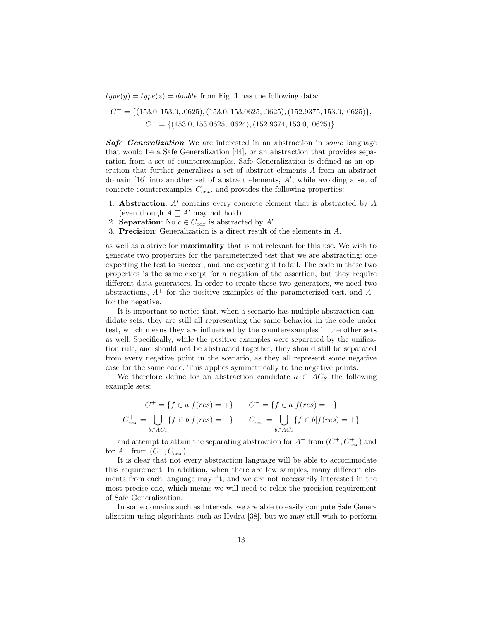$type(y) = type(z) = double from Fig. 1 has the following data:$ 

$$
C^+ = \{ (153.0, 153.0, .0625), (153.0, 153.0625, .0625), (152.9375, 153.0, .0625) \},
$$
  

$$
C^- = \{ (153.0, 153.0625, .0624), (152.9374, 153.0, .0625) \}.
$$

**Safe Generalization** We are interested in an abstraction in some language that would be a Safe Generalization [44], or an abstraction that provides separation from a set of counterexamples. Safe Generalization is defined as an operation that further generalizes a set of abstract elements A from an abstract domain  $[16]$  into another set of abstract elements,  $A'$ , while avoiding a set of concrete counterexamples  $C_{cex}$ , and provides the following properties:

- 1. Abstraction:  $A'$  contains every concrete element that is abstracted by  $A$ (even though  $A \sqsubseteq A'$  may not hold)
- 2. **Separation**: No  $c \in C_{cex}$  is abstracted by A'
- 3. Precision: Generalization is a direct result of the elements in A.

as well as a strive for maximality that is not relevant for this use. We wish to generate two properties for the parameterized test that we are abstracting: one expecting the test to succeed, and one expecting it to fail. The code in these two properties is the same except for a negation of the assertion, but they require different data generators. In order to create these two generators, we need two abstractions,  $A^+$  for the positive examples of the parameterized test, and  $A^$ for the negative.

It is important to notice that, when a scenario has multiple abstraction candidate sets, they are still all representing the same behavior in the code under test, which means they are influenced by the counterexamples in the other sets as well. Specifically, while the positive examples were separated by the unification rule, and should not be abstracted together, they should still be separated from every negative point in the scenario, as they all represent some negative case for the same code. This applies symmetrically to the negative points.

We therefore define for an abstraction candidate  $a \in AC_S$  the following example sets:

$$
C^{+} = \{ f \in a | f(res) = + \} \qquad C^{-} = \{ f \in a | f(res) = - \}
$$

$$
C_{cex}^{+} = \bigcup_{b \in AC_s} \{ f \in b | f(res) = - \} \qquad C_{cex}^{-} = \bigcup_{b \in AC_s} \{ f \in b | f(res) = + \}
$$

and attempt to attain the separating abstraction for  $A^+$  from  $(C^+, C_{cex}^+)$  and for  $A^-$  from  $(C^-, C_{cex}^-)$ .

It is clear that not every abstraction language will be able to accommodate this requirement. In addition, when there are few samples, many different elements from each language may fit, and we are not necessarily interested in the most precise one, which means we will need to relax the precision requirement of Safe Generalization.

In some domains such as Intervals, we are able to easily compute Safe Generalization using algorithms such as Hydra [38], but we may still wish to perform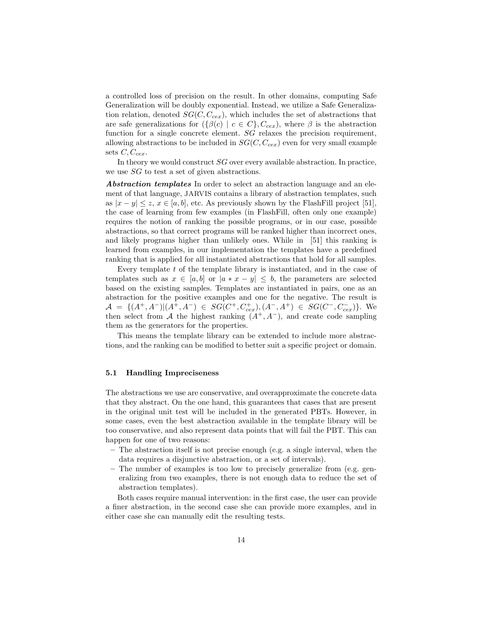a controlled loss of precision on the result. In other domains, computing Safe Generalization will be doubly exponential. Instead, we utilize a Safe Generalization relation, denoted  $SG(C, C_{cex})$ , which includes the set of abstractions that are safe generalizations for  $({\beta(c) | c \in C}, C_{cex})$ , where  $\beta$  is the abstraction function for a single concrete element. SG relaxes the precision requirement, allowing abstractions to be included in  $SG(C, C_{cex})$  even for very small example sets  $C, C_{cex}.$ 

In theory we would construct  $SG$  over every available abstraction. In practice, we use SG to test a set of given abstractions.

Abstraction templates In order to select an abstraction language and an element of that language, JARVIS contains a library of abstraction templates, such as  $|x - y| \leq z$ ,  $x \in [a, b]$ , etc. As previously shown by the FlashFill project [51], the case of learning from few examples (in FlashFill, often only one example) requires the notion of ranking the possible programs, or in our case, possible abstractions, so that correct programs will be ranked higher than incorrect ones, and likely programs higher than unlikely ones. While in [51] this ranking is learned from examples, in our implementation the templates have a predefined ranking that is applied for all instantiated abstractions that hold for all samples.

Every template  $t$  of the template library is instantiated, and in the case of templates such as  $x \in [a, b]$  or  $|a * x - y| \leq b$ , the parameters are selected based on the existing samples. Templates are instantiated in pairs, one as an abstraction for the positive examples and one for the negative. The result is  $\mathcal{A} = \{ (A^+, A^-) | (A^+, A^-) \in SG(C^+, C_{cex}^+), (A^-, A^+) \in SG(C^-, C_{cex}^-) \}.$  We then select from A the highest ranking  $(A^+, A^-)$ , and create code sampling them as the generators for the properties.

This means the template library can be extended to include more abstractions, and the ranking can be modified to better suit a specific project or domain.

#### 5.1 Handling Impreciseness

The abstractions we use are conservative, and overapproximate the concrete data that they abstract. On the one hand, this guarantees that cases that are present in the original unit test will be included in the generated PBTs. However, in some cases, even the best abstraction available in the template library will be too conservative, and also represent data points that will fail the PBT. This can happen for one of two reasons:

- The abstraction itself is not precise enough (e.g. a single interval, when the data requires a disjunctive abstraction, or a set of intervals).
- The number of examples is too low to precisely generalize from (e.g. generalizing from two examples, there is not enough data to reduce the set of abstraction templates).

Both cases require manual intervention: in the first case, the user can provide a finer abstraction, in the second case she can provide more examples, and in either case she can manually edit the resulting tests.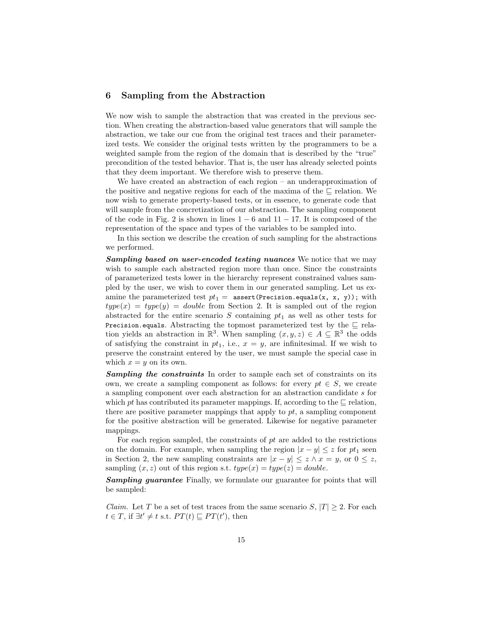### 6 Sampling from the Abstraction

We now wish to sample the abstraction that was created in the previous section. When creating the abstraction-based value generators that will sample the abstraction, we take our cue from the original test traces and their parameterized tests. We consider the original tests written by the programmers to be a weighted sample from the region of the domain that is described by the "true" precondition of the tested behavior. That is, the user has already selected points that they deem important. We therefore wish to preserve them.

We have created an abstraction of each region – an underapproximation of the positive and negative regions for each of the maxima of the  $\sqsubseteq$  relation. We now wish to generate property-based tests, or in essence, to generate code that will sample from the concretization of our abstraction. The sampling component of the code in Fig. 2 is shown in lines  $1 - 6$  and  $11 - 17$ . It is composed of the representation of the space and types of the variables to be sampled into.

In this section we describe the creation of such sampling for the abstractions we performed.

Sampling based on user-encoded testing nuances We notice that we may wish to sample each abstracted region more than once. Since the constraints of parameterized tests lower in the hierarchy represent constrained values sampled by the user, we wish to cover them in our generated sampling. Let us examine the parameterized test  $pt_1 =$  assert (Precision.equals(x, x, y)); with  $type(x) = type(y) = double$  from Section 2. It is sampled out of the region abstracted for the entire scenario S containing  $pt_1$  as well as other tests for Precision.equals. Abstracting the topmost parameterized test by the  $\subseteq$  relation yields an abstraction in  $\mathbb{R}^3$ . When sampling  $(x, y, z) \in A \subseteq \mathbb{R}^3$  the odds of satisfying the constraint in  $pt_1$ , i.e.,  $x = y$ , are infinitesimal. If we wish to preserve the constraint entered by the user, we must sample the special case in which  $x = y$  on its own.

Sampling the constraints In order to sample each set of constraints on its own, we create a sampling component as follows: for every  $pt \in S$ , we create a sampling component over each abstraction for an abstraction candidate s for which pt has contributed its parameter mappings. If, according to the  $\sqsubseteq$  relation, there are positive parameter mappings that apply to  $pt$ , a sampling component for the positive abstraction will be generated. Likewise for negative parameter mappings.

For each region sampled, the constraints of  $pt$  are added to the restrictions on the domain. For example, when sampling the region  $|x - y| \leq z$  for  $pt_1$  seen in Section 2, the new sampling constraints are  $|x - y| \le z \wedge x = y$ , or  $0 \le z$ , sampling  $(x, z)$  out of this region s.t.  $type(x) = type(z) = double$ .

**Sampling guarantee** Finally, we formulate our guarantee for points that will be sampled:

*Claim.* Let T be a set of test traces from the same scenario S,  $|T| \geq 2$ . For each  $t \in T$ , if  $\exists t' \neq t$  s.t.  $PT(t) \sqsubseteq PT(t')$ , then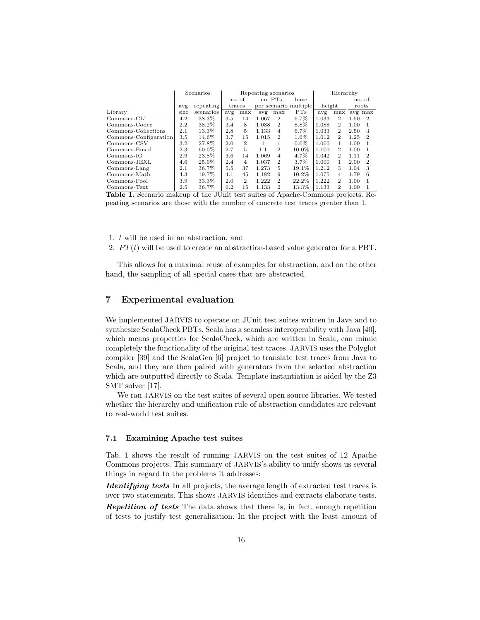|                       |         | Scenarios | Repeating scenarios       |                | Hierarchy |                |                       |        |                             |         |                |
|-----------------------|---------|-----------|---------------------------|----------------|-----------|----------------|-----------------------|--------|-----------------------------|---------|----------------|
|                       |         |           | no. PTs<br>no. of<br>have |                |           |                | no. of                |        |                             |         |                |
|                       | avg     | repeating | traces                    |                |           |                | per scenario multiple | height |                             | roots   |                |
| Library               | size    | scenarios | avg                       | max            | avg       | max            | PTs                   | avg    | max                         | avg max |                |
| $Commons-CLI$         | 4.2     | 38.3%     | 3.5                       | 14             | 1.067     | $\overline{2}$ | 6.7%                  | 1.033  | $\overline{2}$              | 1.50    | 2              |
| Commons-Codec         | 2.2     | 38.2%     | 3.4                       | 8              | 1.088     | $\overline{2}$ | 8.8%                  | 1.088  | $\overline{2}$              | 1.00    | 1              |
| Commons-Collections   | 2.1     | 13.3%     | 2.8                       | 5              | 1.133     | 4              | 6.7%                  | 1.033  | $\overline{2}$              | 2.50    | 3              |
| Commons-Configuration | 3.5     | 14.6%     | 3.7                       | 15             | 1.015     | $\overline{2}$ | $1.6\%$               | 1.012  | $\mathcal{D}_{\mathcal{L}}$ | 1.25    | $\overline{2}$ |
| Commons-CSV           | 3.2     | 27.8%     | 2.0                       | $\overline{2}$ |           |                | $0.0\%$               | 1.000  | 1                           | 1.00    | 1              |
| Commons-Email         | 2.3     | 60.0%     | 2.7                       | 5              | 1.1       | 2              | 10.0%                 | 1.100  | $\mathcal{D}_{\mathcal{L}}$ | 1.00    | 1              |
| Commons-IO            | 2.9     | 23.8%     | 3.6                       | 14             | 1.069     | 4              | 4.7%                  | 1.042  | $\overline{2}$              | 1.11    | 2              |
| $Commons-JEXL$        | 4.6     | 25.9%     | 2.4                       | 4              | 1.037     | $\mathcal{D}$  | $3.7\%$               | 1.000  | 1                           | 2.00    | $\overline{2}$ |
| Commons-Lang          | $2.1\,$ | 36.7%     | 5.5                       | 37             | 1.273     | 5              | 19.1%                 | 1.212  | 3                           | 1.04    | 3              |
| Commons-Math          | 4.3     | 19.7%     | 4.1                       | 45             | 1.182     | 9              | 10.2%                 | 1.075  | 4                           | 1.79    | 6              |
| Commons-Pool          | 3.9     | 33.3%     | 2.0                       | $\overline{2}$ | 1.222     | $\overline{2}$ | 22.2%                 | 1.222  | $\overline{2}$              | 1.00    | 1              |
| Commons-Text          | 2.5     | 36.7%     | 6.2                       | 15             | 1.133     | $\overline{2}$ | 13.3%                 | 1.133  | $\overline{2}$              | 1.00    | 1              |

Table 1. Scenario makeup of the JUnit test suites of Apache-Commons projects. Repeating scenarios are those with the number of concrete test traces greater than 1.

- 1. t will be used in an abstraction, and
- 2.  $PT(t)$  will be used to create an abstraction-based value generator for a PBT.

This allows for a maximal reuse of examples for abstraction, and on the other hand, the sampling of all special cases that are abstracted.

### 7 Experimental evaluation

We implemented JARVIS to operate on JUnit test suites written in Java and to synthesize ScalaCheck PBTs. Scala has a seamless interoperability with Java [40], which means properties for ScalaCheck, which are written in Scala, can mimic completely the functionality of the original test traces. JARVIS uses the Polyglot compiler [39] and the ScalaGen [6] project to translate test traces from Java to Scala, and they are then paired with generators from the selected abstraction which are outputted directly to Scala. Template instantiation is aided by the Z3 SMT solver [17].

We ran JARVIS on the test suites of several open source libraries. We tested whether the hierarchy and unification rule of abstraction candidates are relevant to real-world test suites.

#### 7.1 Examining Apache test suites

Tab. 1 shows the result of running JARVIS on the test suites of 12 Apache Commons projects. This summary of JARVIS's ability to unify shows us several things in regard to the problems it addresses:

Identifying tests In all projects, the average length of extracted test traces is over two statements. This shows JARVIS identifies and extracts elaborate tests.

Repetition of tests The data shows that there is, in fact, enough repetition of tests to justify test generalization. In the project with the least amount of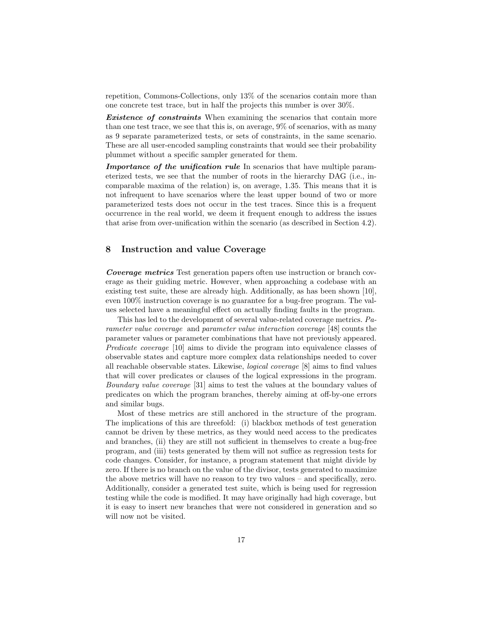repetition, Commons-Collections, only 13% of the scenarios contain more than one concrete test trace, but in half the projects this number is over 30%.

**Existence of constraints** When examining the scenarios that contain more than one test trace, we see that this is, on average, 9% of scenarios, with as many as 9 separate parameterized tests, or sets of constraints, in the same scenario. These are all user-encoded sampling constraints that would see their probability plummet without a specific sampler generated for them.

Importance of the unification rule In scenarios that have multiple parameterized tests, we see that the number of roots in the hierarchy DAG (i.e., incomparable maxima of the relation) is, on average, 1.35. This means that it is not infrequent to have scenarios where the least upper bound of two or more parameterized tests does not occur in the test traces. Since this is a frequent occurrence in the real world, we deem it frequent enough to address the issues that arise from over-unification within the scenario (as described in Section 4.2).

## 8 Instruction and value Coverage

Coverage metrics Test generation papers often use instruction or branch coverage as their guiding metric. However, when approaching a codebase with an existing test suite, these are already high. Additionally, as has been shown [10], even 100% instruction coverage is no guarantee for a bug-free program. The values selected have a meaningful effect on actually finding faults in the program.

This has led to the development of several value-related coverage metrics. Parameter value coverage and parameter value interaction coverage [48] counts the parameter values or parameter combinations that have not previously appeared. Predicate coverage [10] aims to divide the program into equivalence classes of observable states and capture more complex data relationships needed to cover all reachable observable states. Likewise, logical coverage [8] aims to find values that will cover predicates or clauses of the logical expressions in the program. Boundary value coverage [31] aims to test the values at the boundary values of predicates on which the program branches, thereby aiming at off-by-one errors and similar bugs.

Most of these metrics are still anchored in the structure of the program. The implications of this are threefold: (i) blackbox methods of test generation cannot be driven by these metrics, as they would need access to the predicates and branches, (ii) they are still not sufficient in themselves to create a bug-free program, and (iii) tests generated by them will not suffice as regression tests for code changes. Consider, for instance, a program statement that might divide by zero. If there is no branch on the value of the divisor, tests generated to maximize the above metrics will have no reason to try two values – and specifically, zero. Additionally, consider a generated test suite, which is being used for regression testing while the code is modified. It may have originally had high coverage, but it is easy to insert new branches that were not considered in generation and so will now not be visited.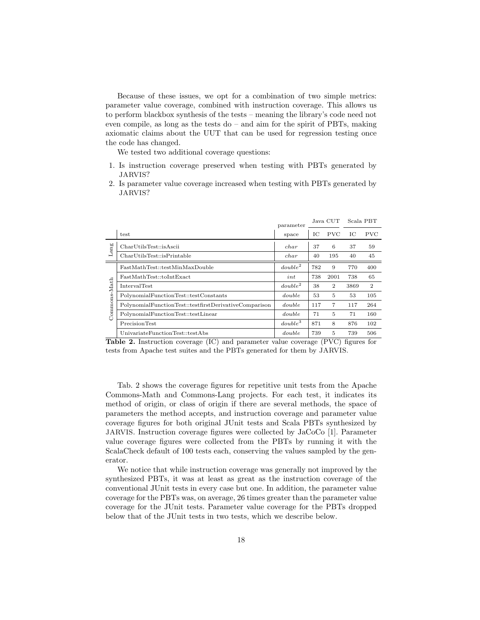Because of these issues, we opt for a combination of two simple metrics: parameter value coverage, combined with instruction coverage. This allows us to perform blackbox synthesis of the tests – meaning the library's code need not even compile, as long as the tests do – and aim for the spirit of PBTs, making axiomatic claims about the UUT that can be used for regression testing once the code has changed.

We tested two additional coverage questions:

- 1. Is instruction coverage preserved when testing with PBTs generated by JARVIS?
- 2. Is parameter value coverage increased when testing with PBTs generated by JARVIS?

|                  |                                                       | parameter           | Java CUT |                | Scala PBT |                |
|------------------|-------------------------------------------------------|---------------------|----------|----------------|-----------|----------------|
|                  | test                                                  | space               | IC       | <b>PVC</b>     | IC        | <b>PVC</b>     |
| Lang             | CharUtilsTest::isAscii                                | char                | 37       | 6              | 37        | 59             |
|                  | CharUtilsTest::isPrintable                            | char                | 40       | 195            | 40        | 45             |
| Math<br>Commons- | FastMathTest::testMinMaxDouble                        | double <sup>2</sup> | 782      | 9              | 770       | 400            |
|                  | FastMathTest::toIntExact                              | int                 | 738      | 2001           | 738       | 65             |
|                  | <b>IntervalTest</b>                                   | double <sup>2</sup> | 38       | $\overline{2}$ | 3869      | $\overline{2}$ |
|                  | PolynomialFunctionTest::testConstants                 | <i>double.</i>      | 53       | 5              | 53        | 105            |
|                  | PolynomialFunctionTest::testfirstDerivativeComparison | <i>double.</i>      | 117      | 7              | 117       | 264            |
|                  | PolynomialFunctionTest::testLinear                    | double              | 71       | 5              | 71        | 160            |
|                  | <b>PrecisionTest</b>                                  | double <sup>3</sup> | 871      | 8              | 876       | 102            |
|                  | UnivariateFunctionTest::testAbs                       | <i>double.</i>      | 739      | 5              | 739       | 506            |

Table 2. Instruction coverage (IC) and parameter value coverage (PVC) figures for tests from Apache test suites and the PBTs generated for them by JARVIS.

Tab. 2 shows the coverage figures for repetitive unit tests from the Apache Commons-Math and Commons-Lang projects. For each test, it indicates its method of origin, or class of origin if there are several methods, the space of parameters the method accepts, and instruction coverage and parameter value coverage figures for both original JUnit tests and Scala PBTs synthesized by JARVIS. Instruction coverage figures were collected by JaCoCo [1]. Parameter value coverage figures were collected from the PBTs by running it with the ScalaCheck default of 100 tests each, conserving the values sampled by the generator.

We notice that while instruction coverage was generally not improved by the synthesized PBTs, it was at least as great as the instruction coverage of the conventional JUnit tests in every case but one. In addition, the parameter value coverage for the PBTs was, on average, 26 times greater than the parameter value coverage for the JUnit tests. Parameter value coverage for the PBTs dropped below that of the JUnit tests in two tests, which we describe below.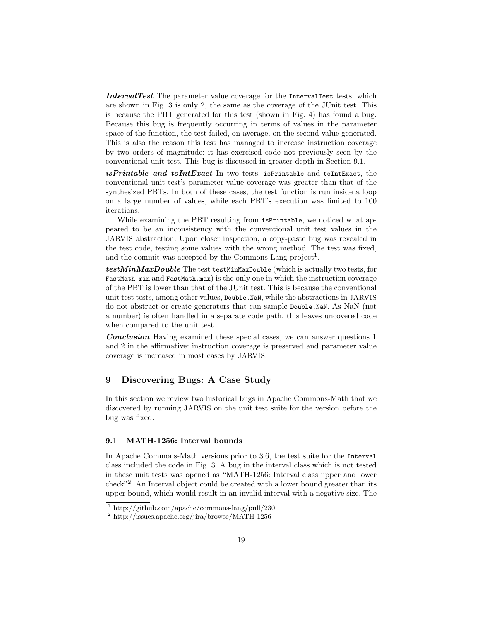IntervalTest The parameter value coverage for the IntervalTest tests, which are shown in Fig. 3 is only 2, the same as the coverage of the JUnit test. This is because the PBT generated for this test (shown in Fig. 4) has found a bug. Because this bug is frequently occurring in terms of values in the parameter space of the function, the test failed, on average, on the second value generated. This is also the reason this test has managed to increase instruction coverage by two orders of magnitude: it has exercised code not previously seen by the conventional unit test. This bug is discussed in greater depth in Section 9.1.

isPrintable and toIntExact In two tests, isPrintable and toIntExact, the conventional unit test's parameter value coverage was greater than that of the synthesized PBTs. In both of these cases, the test function is run inside a loop on a large number of values, while each PBT's execution was limited to 100 iterations.

While examining the PBT resulting from isPrintable, we noticed what appeared to be an inconsistency with the conventional unit test values in the JARVIS abstraction. Upon closer inspection, a copy-paste bug was revealed in the test code, testing some values with the wrong method. The test was fixed, and the commit was accepted by the Commons-Lang project<sup>1</sup>.

testMinMaxDouble The test testMinMaxDouble (which is actually two tests, for FastMath.min and FastMath.max) is the only one in which the instruction coverage of the PBT is lower than that of the JUnit test. This is because the conventional unit test tests, among other values, Double.NaN, while the abstractions in JARVIS do not abstract or create generators that can sample Double.NaN. As NaN (not a number) is often handled in a separate code path, this leaves uncovered code when compared to the unit test.

Conclusion Having examined these special cases, we can answer questions 1 and 2 in the affirmative: instruction coverage is preserved and parameter value coverage is increased in most cases by JARVIS.

### 9 Discovering Bugs: A Case Study

In this section we review two historical bugs in Apache Commons-Math that we discovered by running JARVIS on the unit test suite for the version before the bug was fixed.

#### 9.1 MATH-1256: Interval bounds

In Apache Commons-Math versions prior to 3.6, the test suite for the Interval class included the code in Fig. 3. A bug in the interval class which is not tested in these unit tests was opened as "MATH-1256: Interval class upper and lower check"<sup>2</sup> . An Interval object could be created with a lower bound greater than its upper bound, which would result in an invalid interval with a negative size. The

<sup>&</sup>lt;sup>1</sup> http://github.com/apache/commons-lang/pull/230

<sup>2</sup> http://issues.apache.org/jira/browse/MATH-1256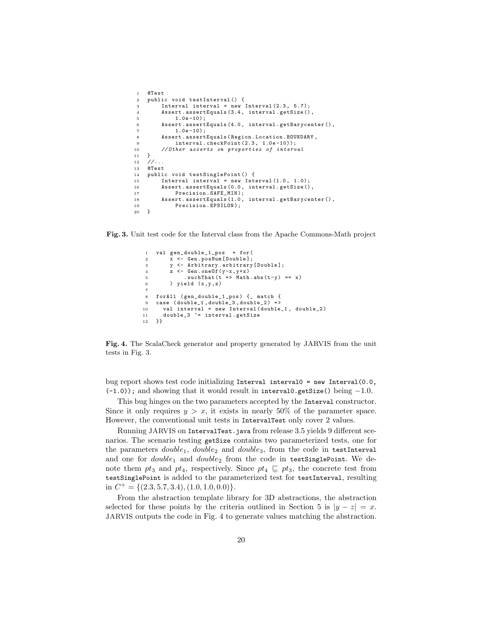```
1 @Test
2 public void testInterval () {
3 Interval interval = new Interval (2.3, 5.7);4 Assert . assertEquals (3.4 , interval . getSize () ,
5 \t 1.0 e-10);6 Assert . assertEquals (4.0 , interval . getBarycenter () ,
7 \quad 1.0e-10);8 Assert . assertEquals ( Region . Location . BOUNDARY ,
9 interval.checkPoint (2.3, 1.0e-10));
10 // Other asserts on properties of interval<br>11 }
11 }
12 / I...
13 @Test
14 public void testSinglePoint () {
15 Interval interval = new Interval (1.0, 1.0);
16 Assert . assertEquals (0.0 , interval . getSize () ,
17 Precision . SAFE_MIN);
18 Assert. assertEquals (1.0, interval. getBarycenter (),<br>19 Precision EPSILON):
            Precision. EPSILON):
20 }
```
Fig. 3. Unit test code for the Interval class from the Apache Commons-Math project

```
1 val gen_double_1_pos = for (
2 x <- Gen. posNum [Double]:
3 y <- Arbitrary . arbitrary [ Double ];
4 \bar{z} <- Gen. oneOf (y-x, y+x)5 . such That (t = > Math \cdot abs(t - y) == x)6 ) yield (x, y, z)7
8 forAll ( gen_double_1_pos ) { _ match {
9 case ( double_1 , double_3 , double_2 ) =>
10 val interval = new Interval ( double_1 , double_2 )
11 double_3 <sup>~=</sup> interval.getSize
12 }}
```
Fig. 4. The ScalaCheck generator and property generated by JARVIS from the unit tests in Fig. 3.

bug report shows test code initializing Interval interval0 = new Interval(0.0, (-1.0)); and showing that it would result in interval0.getSize() being −1.0.

This bug hinges on the two parameters accepted by the Interval constructor. Since it only requires  $y > x$ , it exists in nearly 50% of the parameter space. However, the conventional unit tests in IntervalTest only cover 2 values.

Running JARVIS on IntervalTest.java from release 3.5 yields 9 different scenarios. The scenario testing getSize contains two parameterized tests, one for the parameters  $double_1$ ,  $double_2$  and  $double_3$ , from the code in testInterval and one for  $double_1$  and  $double_2$  from the code in testSinglePoint. We denote them  $pt_3$  and  $pt_4$ , respectively. Since  $pt_4 \subseteq pt_3$ , the concrete test from testSinglePoint is added to the parameterized test for testInterval, resulting in  $C^+ = \{(2.3, 5.7, 3.4), (1.0, 1.0, 0.0)\}.$ 

From the abstraction template library for 3D abstractions, the abstraction selected for these points by the criteria outlined in Section 5 is  $|y - z| = x$ . JARVIS outputs the code in Fig. 4 to generate values matching the abstraction.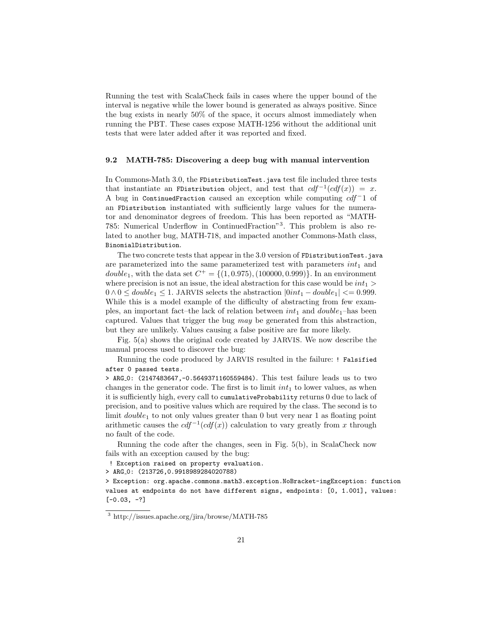Running the test with ScalaCheck fails in cases where the upper bound of the interval is negative while the lower bound is generated as always positive. Since the bug exists in nearly 50% of the space, it occurs almost immediately when running the PBT. These cases expose MATH-1256 without the additional unit tests that were later added after it was reported and fixed.

#### 9.2 MATH-785: Discovering a deep bug with manual intervention

In Commons-Math 3.0, the FDistributionTest.java test file included three tests that instantiate an FDistribution object, and test that  $cdf^{-1}(cdf(x)) = x$ . A bug in ContinuedFraction caused an exception while computing  $cdf^-1$  of an FDistribution instantiated with sufficiently large values for the numerator and denominator degrees of freedom. This has been reported as "MATH-785: Numerical Underflow in ContinuedFraction"<sup>3</sup> . This problem is also related to another bug, MATH-718, and impacted another Commons-Math class, BinomialDistribution.

The two concrete tests that appear in the 3.0 version of FDistributionTest.java are parameterized into the same parameterized test with parameters  $int_1$  and double<sub>1</sub>, with the data set  $C^+ = \{(1, 0.975), (100000, 0.999)\}\.$  In an environment where precision is not an issue, the ideal abstraction for this case would be  $int_1$  >  $0 \wedge 0 \leq double_1 \leq 1$ . JARVIS selects the abstraction  $|0int_1 - double_1| \leq 0.999$ . While this is a model example of the difficulty of abstracting from few examples, an important fact–the lack of relation between  $int_1$  and  $double_1$ –has been captured. Values that trigger the bug may be generated from this abstraction, but they are unlikely. Values causing a false positive are far more likely.

Fig. 5(a) shows the original code created by JARVIS. We now describe the manual process used to discover the bug:

Running the code produced by JARVIS resulted in the failure: ! Falsified after 0 passed tests.

> ARG 0: (2147483647,-0.5649371160559484). This test failure leads us to two changes in the generator code. The first is to limit  $int_1$  to lower values, as when it is sufficiently high, every call to cumulativeProbability returns 0 due to lack of precision, and to positive values which are required by the class. The second is to limit  $double_1$  to not only values greater than 0 but very near 1 as floating point arithmetic causes the  $cdf^{-1}(cdf(x))$  calculation to vary greatly from x through no fault of the code.

Running the code after the changes, seen in Fig. 5(b), in ScalaCheck now fails with an exception caused by the bug:

! Exception raised on property evaluation.

> ARG 0: (213726,0.9918989284020788)

> Exception: org.apache.commons.math3.exception.NoBracket-ingException: function values at endpoints do not have different signs, endpoints: [0, 1.001], values:  $[-0.03, -?]$ 

<sup>3</sup> http://issues.apache.org/jira/browse/MATH-785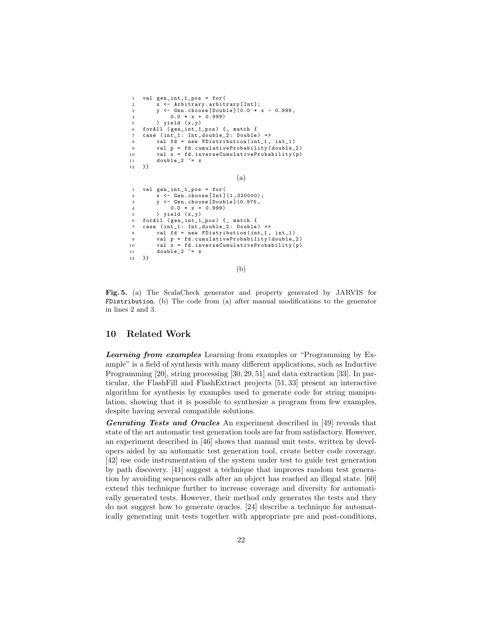```
1 val gen_int_1_pos = for (
2 x <- Arbitrary.arbitrary [Int];
3 y <- Gen . choose [ Double ](0.0 * x - 0.999 ,
 4 0.0 * x + 0.999)
5 ) yield (x ,y)
6 forAll ( gen_int_1_pos ) {_ match {
7 case ( int_1 : Int , double_2 : Double ) =>
8 val fd = new FDistribution (int 1, int 1)
9 val p = fd.cumulativeProbability(double_2)<br>10 val x = fd inverseCumulativeProbability (n)
         val r = 1<br>val x = fd. inverseCumulativeProbability (p)
11 double_2 \tilde{} = x
12 }}
                                    (a)
1 val gen_int_1_pos = for (
2 x <- Gen . choose [ Int ](1 ,320000);
3 y <- Gen . choose [ Double ](0.975 ,
4 0.0 * x + 0.999)
5 ) yield (x, y)<br>6 for All (gen int 1)
    forAll (gen_int_1_pos) {_ match {
7 case ( int_1 : Int , double_2 : Double ) =>
8 val fd = new FDistribution (int_1, int_1)<br>9 val p = fd.cumulativeProbability (double
         val p = fd. cumulativeProbability (double_2)
10 val x = fd. inverseCumulativeProbability (p)
11 double_2 z = x<br>12 }}
    12 }}
                                    (b)
```
Fig. 5. (a) The ScalaCheck generator and property generated by JARVIS for FDistribution. (b) The code from (a) after manual modifications to the generator in lines 2 and 3.

### 10 Related Work

Learning from examples Learning from examples or "Programming by Example" is a field of synthesis with many different applications, such as Inductive Programming [20], string processing [30, 29, 51] and data extraction [33]. In particular, the FlashFill and FlashExtract projects [51, 33] present an interactive algorithm for synthesis by examples used to generate code for string manipulation, showing that it is possible to synthesize a program from few examples, despite having several compatible solutions.

Genrating Tests and Oracles An experiment described in [49] reveals that state of the art automatic test generation tools are far from satisfactory. However, an experiment described in [46] shows that manual unit tests, written by developers aided by an automatic test generation tool, create better code coverage. [42] use code instrumentation of the system under test to guide test generation by path discovery. [41] suggest a technique that improves random test generation by avoiding sequences calls after an object has reached an illegal state. [60] extend this technique further to increase coverage and diversity for automatically generated tests. However, their method only generates the tests and they do not suggest how to generate oracles. [24] describe a technique for automatically generating unit tests together with appropriate pre and post-conditions,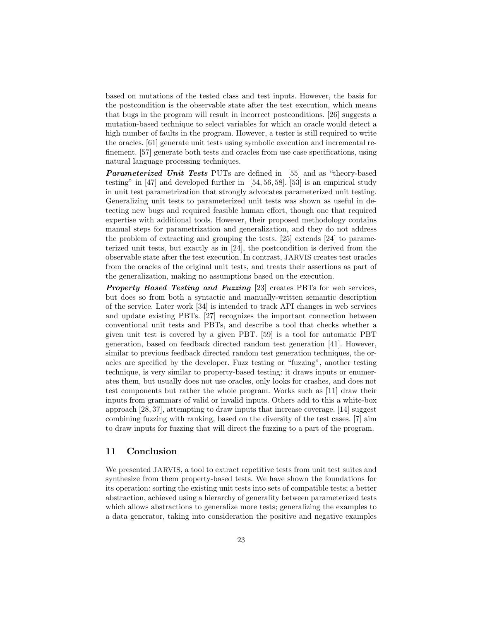based on mutations of the tested class and test inputs. However, the basis for the postcondition is the observable state after the test execution, which means that bugs in the program will result in incorrect postconditions. [26] suggests a mutation-based technique to select variables for which an oracle would detect a high number of faults in the program. However, a tester is still required to write the oracles. [61] generate unit tests using symbolic execution and incremental refinement. [57] generate both tests and oracles from use case specifications, using natural language processing techniques.

**Parameterized Unit Tests** PUTs are defined in [55] and as "theory-based testing" in [47] and developed further in [54, 56, 58]. [53] is an empirical study in unit test parametrization that strongly advocates parameterized unit testing. Generalizing unit tests to parameterized unit tests was shown as useful in detecting new bugs and required feasible human effort, though one that required expertise with additional tools. However, their proposed methodology contains manual steps for parametrization and generalization, and they do not address the problem of extracting and grouping the tests. [25] extends [24] to parameterized unit tests, but exactly as in [24], the postcondition is derived from the observable state after the test execution. In contrast, JARVIS creates test oracles from the oracles of the original unit tests, and treats their assertions as part of the generalization, making no assumptions based on the execution.

Property Based Testing and Fuzzing [23] creates PBTs for web services, but does so from both a syntactic and manually-written semantic description of the service. Later work [34] is intended to track API changes in web services and update existing PBTs. [27] recognizes the important connection between conventional unit tests and PBTs, and describe a tool that checks whether a given unit test is covered by a given PBT. [59] is a tool for automatic PBT generation, based on feedback directed random test generation [41]. However, similar to previous feedback directed random test generation techniques, the oracles are specified by the developer. Fuzz testing or "fuzzing", another testing technique, is very similar to property-based testing: it draws inputs or enumerates them, but usually does not use oracles, only looks for crashes, and does not test components but rather the whole program. Works such as [11] draw their inputs from grammars of valid or invalid inputs. Others add to this a white-box approach [28, 37], attempting to draw inputs that increase coverage. [14] suggest combining fuzzing with ranking, based on the diversity of the test cases. [7] aim to draw inputs for fuzzing that will direct the fuzzing to a part of the program.

# 11 Conclusion

We presented JARVIS, a tool to extract repetitive tests from unit test suites and synthesize from them property-based tests. We have shown the foundations for its operation: sorting the existing unit tests into sets of compatible tests; a better abstraction, achieved using a hierarchy of generality between parameterized tests which allows abstractions to generalize more tests; generalizing the examples to a data generator, taking into consideration the positive and negative examples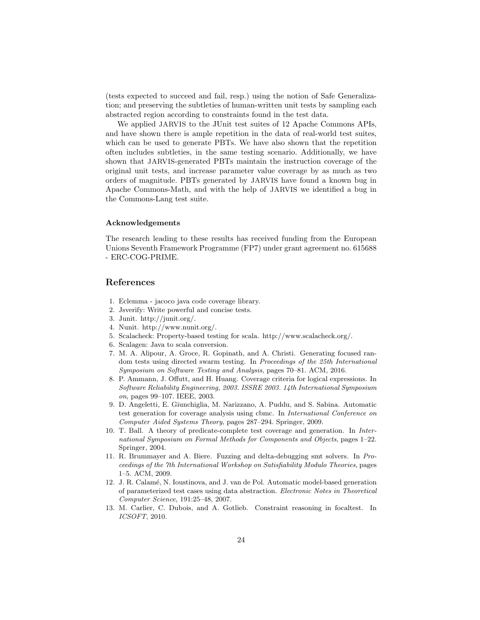(tests expected to succeed and fail, resp.) using the notion of Safe Generalization; and preserving the subtleties of human-written unit tests by sampling each abstracted region according to constraints found in the test data.

We applied JARVIS to the JUnit test suites of 12 Apache Commons APIs, and have shown there is ample repetition in the data of real-world test suites, which can be used to generate PBTs. We have also shown that the repetition often includes subtleties, in the same testing scenario. Additionally, we have shown that JARVIS-generated PBTs maintain the instruction coverage of the original unit tests, and increase parameter value coverage by as much as two orders of magnitude. PBTs generated by JARVIS have found a known bug in Apache Commons-Math, and with the help of JARVIS we identified a bug in the Commons-Lang test suite.

#### Acknowledgements

The research leading to these results has received funding from the European Unions Seventh Framework Programme (FP7) under grant agreement no. 615688 - ERC-COG-PRIME.

### References

- 1. Eclemma jacoco java code coverage library.
- 2. Jsverify: Write powerful and concise tests.
- 3. Junit. http://junit.org/.
- 4. Nunit. http://www.nunit.org/.
- 5. Scalacheck: Property-based testing for scala. http://www.scalacheck.org/.
- 6. Scalagen: Java to scala conversion.
- 7. M. A. Alipour, A. Groce, R. Gopinath, and A. Christi. Generating focused random tests using directed swarm testing. In Proceedings of the 25th International Symposium on Software Testing and Analysis, pages 70–81. ACM, 2016.
- 8. P. Ammann, J. Offutt, and H. Huang. Coverage criteria for logical expressions. In Software Reliability Engineering, 2003. ISSRE 2003. 14th International Symposium on, pages 99–107. IEEE, 2003.
- 9. D. Angeletti, E. Giunchiglia, M. Narizzano, A. Puddu, and S. Sabina. Automatic test generation for coverage analysis using cbmc. In International Conference on Computer Aided Systems Theory, pages 287–294. Springer, 2009.
- 10. T. Ball. A theory of predicate-complete test coverage and generation. In International Symposium on Formal Methods for Components and Objects, pages 1–22. Springer, 2004.
- 11. R. Brummayer and A. Biere. Fuzzing and delta-debugging smt solvers. In Proceedings of the 7th International Workshop on Satisfiability Modulo Theories, pages 1–5. ACM, 2009.
- 12. J. R. Calam´e, N. Ioustinova, and J. van de Pol. Automatic model-based generation of parameterized test cases using data abstraction. Electronic Notes in Theoretical Computer Science, 191:25–48, 2007.
- 13. M. Carlier, C. Dubois, and A. Gotlieb. Constraint reasoning in focaltest. In ICSOFT, 2010.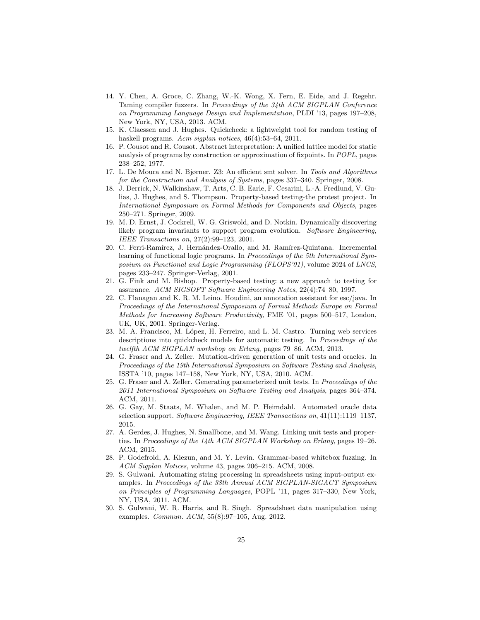- 14. Y. Chen, A. Groce, C. Zhang, W.-K. Wong, X. Fern, E. Eide, and J. Regehr. Taming compiler fuzzers. In Proceedings of the 34th ACM SIGPLAN Conference on Programming Language Design and Implementation, PLDI '13, pages 197–208, New York, NY, USA, 2013. ACM.
- 15. K. Claessen and J. Hughes. Quickcheck: a lightweight tool for random testing of haskell programs. Acm sigplan notices,  $46(4):53-64$ , 2011.
- 16. P. Cousot and R. Cousot. Abstract interpretation: A unified lattice model for static analysis of programs by construction or approximation of fixpoints. In POPL, pages 238–252, 1977.
- 17. L. De Moura and N. Bjørner. Z3: An efficient smt solver. In Tools and Algorithms for the Construction and Analysis of Systems, pages 337–340. Springer, 2008.
- 18. J. Derrick, N. Walkinshaw, T. Arts, C. B. Earle, F. Cesarini, L.-A. Fredlund, V. Gulias, J. Hughes, and S. Thompson. Property-based testing-the protest project. In International Symposium on Formal Methods for Components and Objects, pages 250–271. Springer, 2009.
- 19. M. D. Ernst, J. Cockrell, W. G. Griswold, and D. Notkin. Dynamically discovering likely program invariants to support program evolution. Software Engineering, IEEE Transactions on, 27(2):99–123, 2001.
- 20. C. Ferri-Ramírez, J. Hernández-Orallo, and M. Ramírez-Quintana. Incremental learning of functional logic programs. In Proceedings of the 5th International Symposium on Functional and Logic Programming (FLOPS'01), volume 2024 of LNCS, pages 233–247. Springer-Verlag, 2001.
- 21. G. Fink and M. Bishop. Property-based testing: a new approach to testing for assurance. ACM SIGSOFT Software Engineering Notes, 22(4):74–80, 1997.
- 22. C. Flanagan and K. R. M. Leino. Houdini, an annotation assistant for esc/java. In Proceedings of the International Symposium of Formal Methods Europe on Formal Methods for Increasing Software Productivity, FME '01, pages 500–517, London, UK, UK, 2001. Springer-Verlag.
- 23. M. A. Francisco, M. López, H. Ferreiro, and L. M. Castro. Turning web services descriptions into quickcheck models for automatic testing. In Proceedings of the twelfth ACM SIGPLAN workshop on Erlang, pages 79–86. ACM, 2013.
- 24. G. Fraser and A. Zeller. Mutation-driven generation of unit tests and oracles. In Proceedings of the 19th International Symposium on Software Testing and Analysis, ISSTA '10, pages 147–158, New York, NY, USA, 2010. ACM.
- 25. G. Fraser and A. Zeller. Generating parameterized unit tests. In Proceedings of the 2011 International Symposium on Software Testing and Analysis, pages 364–374. ACM, 2011.
- 26. G. Gay, M. Staats, M. Whalen, and M. P. Heimdahl. Automated oracle data selection support. Software Engineering, IEEE Transactions on, 41(11):1119–1137, 2015.
- 27. A. Gerdes, J. Hughes, N. Smallbone, and M. Wang. Linking unit tests and properties. In Proceedings of the 14th ACM SIGPLAN Workshop on Erlang, pages 19–26. ACM, 2015.
- 28. P. Godefroid, A. Kiezun, and M. Y. Levin. Grammar-based whitebox fuzzing. In ACM Sigplan Notices, volume 43, pages 206–215. ACM, 2008.
- 29. S. Gulwani. Automating string processing in spreadsheets using input-output examples. In Proceedings of the 38th Annual ACM SIGPLAN-SIGACT Symposium on Principles of Programming Languages, POPL '11, pages 317–330, New York, NY, USA, 2011. ACM.
- 30. S. Gulwani, W. R. Harris, and R. Singh. Spreadsheet data manipulation using examples. Commun. ACM, 55(8):97–105, Aug. 2012.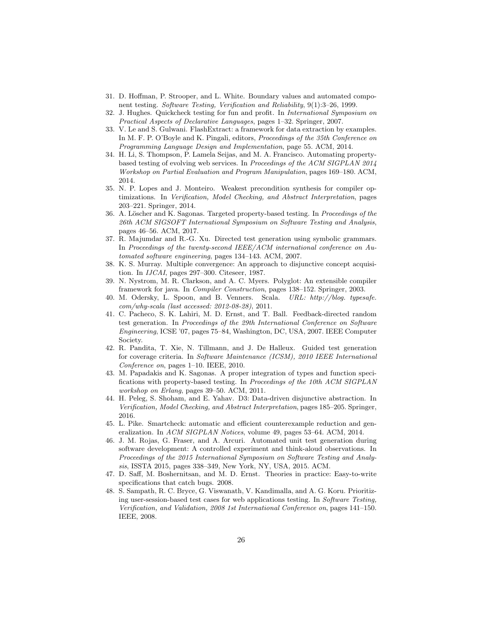- 31. D. Hoffman, P. Strooper, and L. White. Boundary values and automated component testing. Software Testing, Verification and Reliability, 9(1):3–26, 1999.
- 32. J. Hughes. Quickcheck testing for fun and profit. In International Symposium on Practical Aspects of Declarative Languages, pages 1–32. Springer, 2007.
- 33. V. Le and S. Gulwani. FlashExtract: a framework for data extraction by examples. In M. F. P. O'Boyle and K. Pingali, editors, Proceedings of the 35th Conference on Programming Language Design and Implementation, page 55. ACM, 2014.
- 34. H. Li, S. Thompson, P. Lamela Seijas, and M. A. Francisco. Automating propertybased testing of evolving web services. In Proceedings of the ACM SIGPLAN 2014 Workshop on Partial Evaluation and Program Manipulation, pages 169–180. ACM, 2014.
- 35. N. P. Lopes and J. Monteiro. Weakest precondition synthesis for compiler optimizations. In Verification, Model Checking, and Abstract Interpretation, pages 203–221. Springer, 2014.
- 36. A. Löscher and K. Sagonas. Targeted property-based testing. In Proceedings of the 26th ACM SIGSOFT International Symposium on Software Testing and Analysis, pages 46–56. ACM, 2017.
- 37. R. Majumdar and R.-G. Xu. Directed test generation using symbolic grammars. In Proceedings of the twenty-second IEEE/ACM international conference on Automated software engineering, pages 134–143. ACM, 2007.
- 38. K. S. Murray. Multiple convergence: An approach to disjunctive concept acquisition. In IJCAI, pages 297–300. Citeseer, 1987.
- 39. N. Nystrom, M. R. Clarkson, and A. C. Myers. Polyglot: An extensible compiler framework for java. In Compiler Construction, pages 138–152. Springer, 2003.
- 40. M. Odersky, L. Spoon, and B. Venners. Scala. URL: http://blog. typesafe. com/why-scala (last accessed: 2012-08-28), 2011.
- 41. C. Pacheco, S. K. Lahiri, M. D. Ernst, and T. Ball. Feedback-directed random test generation. In Proceedings of the 29th International Conference on Software Engineering, ICSE '07, pages 75–84, Washington, DC, USA, 2007. IEEE Computer Society.
- 42. R. Pandita, T. Xie, N. Tillmann, and J. De Halleux. Guided test generation for coverage criteria. In Software Maintenance (ICSM), 2010 IEEE International Conference on, pages 1–10. IEEE, 2010.
- 43. M. Papadakis and K. Sagonas. A proper integration of types and function specifications with property-based testing. In Proceedings of the 10th ACM SIGPLAN workshop on Erlang, pages 39–50. ACM, 2011.
- 44. H. Peleg, S. Shoham, and E. Yahav. D3: Data-driven disjunctive abstraction. In Verification, Model Checking, and Abstract Interpretation, pages 185–205. Springer, 2016.
- 45. L. Pike. Smartcheck: automatic and efficient counterexample reduction and generalization. In ACM SIGPLAN Notices, volume 49, pages 53–64. ACM, 2014.
- 46. J. M. Rojas, G. Fraser, and A. Arcuri. Automated unit test generation during software development: A controlled experiment and think-aloud observations. In Proceedings of the 2015 International Symposium on Software Testing and Analysis, ISSTA 2015, pages 338–349, New York, NY, USA, 2015. ACM.
- 47. D. Saff, M. Boshernitsan, and M. D. Ernst. Theories in practice: Easy-to-write specifications that catch bugs. 2008.
- 48. S. Sampath, R. C. Bryce, G. Viswanath, V. Kandimalla, and A. G. Koru. Prioritizing user-session-based test cases for web applications testing. In Software Testing, Verification, and Validation, 2008 1st International Conference on, pages 141–150. IEEE, 2008.